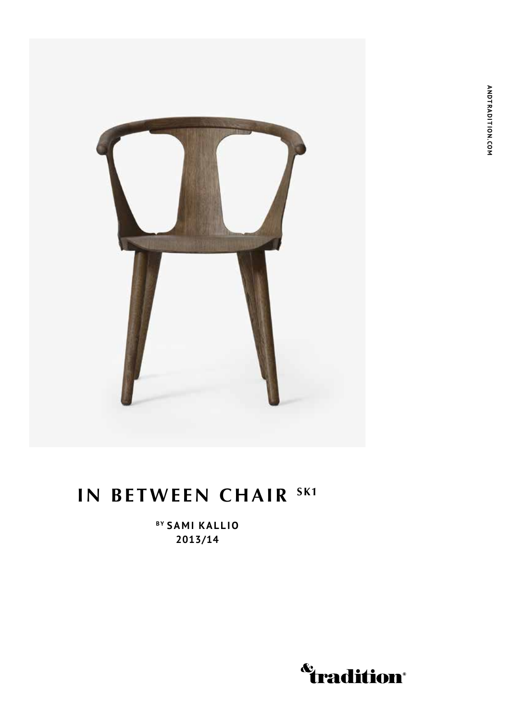



## **IN BETWEEN CHAIR SK1**

**By Sami Kallio 2013/14**